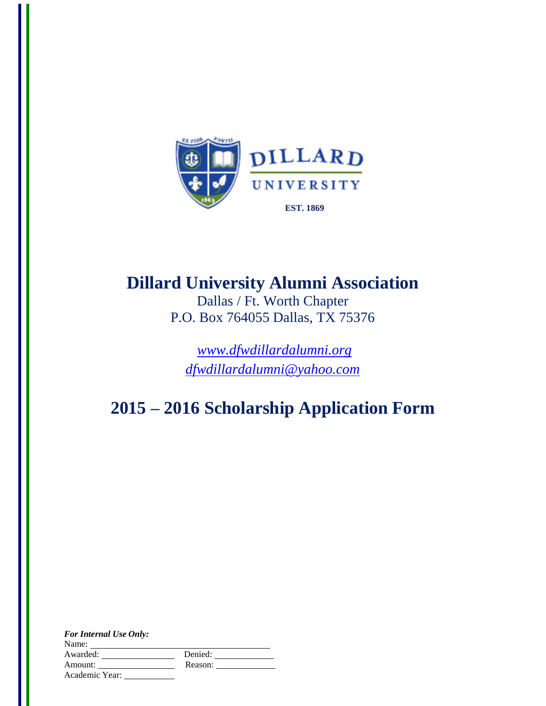

# **Dillard University Alumni Association**

Dallas / Ft. Worth Chapter P.O. Box 764055 Dallas, TX 75376

*[www.dfwdillardalumni.org](http://www.dfwdillardalumni.org/) [dfwdillardalumni@yahoo.com](mailto:dfwdillardalumni@yahoo.com)*

## **2015 – 2016 Scholarship Application Form**

| <b>For Internal Use Only:</b> |         |
|-------------------------------|---------|
| Name:                         |         |
| Awarded:                      | Denied: |
| Amount:                       | Reason: |
| Academic Year:                |         |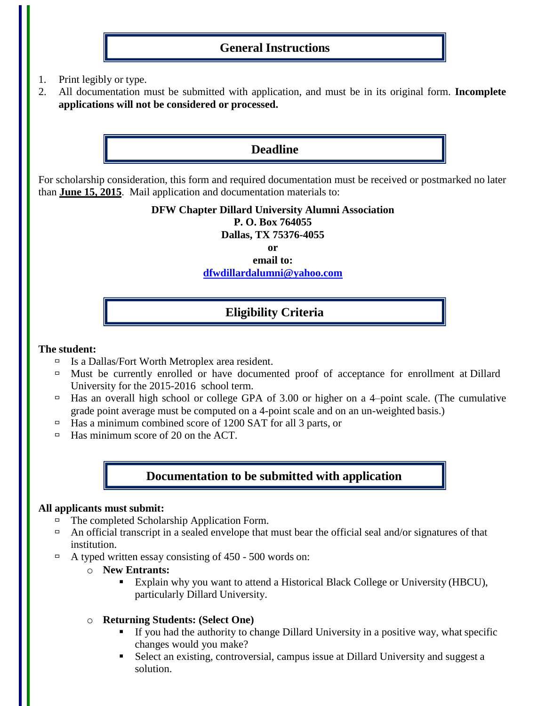## **General Instructions**

- 1. Print legibly or type.
- 2. All documentation must be submitted with application, and must be in its original form. **Incomplete applications will not be considered or processed.**

## **Deadline**

For scholarship consideration, this form and required documentation must be received or postmarked no later than **June 15, 2015**. Mail application and documentation materials to:

#### **DFW Chapter Dillard University Alumni Association P. O. Box 764055 Dallas, TX 75376-4055**

**or email to:**

**[dfwdillardalumni@yahoo.com](mailto:dfwdillardalumni@yahoo.com)**

## **Eligibility Criteria**

#### **The student:**

- $\Box$  Is a Dallas/Fort Worth Metroplex area resident.
- $\Box$  Must be currently enrolled or have documented proof of acceptance for enrollment at Dillard University for the 2015-2016 school term.
- $\Box$  Has an overall high school or college GPA of 3.00 or higher on a 4-point scale. (The cumulative grade point average must be computed on a 4-point scale and on an un-weighted basis.)
- $\Box$  Has a minimum combined score of 1200 SAT for all 3 parts, or
- $\Box$  Has minimum score of 20 on the ACT.

## **Documentation to be submitted with application**

#### **All applicants must submit:**

- The completed Scholarship Application Form.
- An official transcript in a sealed envelope that must bear the official seal and/or signatures of that institution.
- $\Box$  A typed written essay consisting of 450 500 words on:
	- o **New Entrants:**
		- Explain why you want to attend a Historical Black College or University (HBCU), particularly Dillard University.
	- o **Returning Students: (Select One)**
		- If you had the authority to change Dillard University in a positive way, what specific changes would you make?
		- Select an existing, controversial, campus issue at Dillard University and suggest a solution.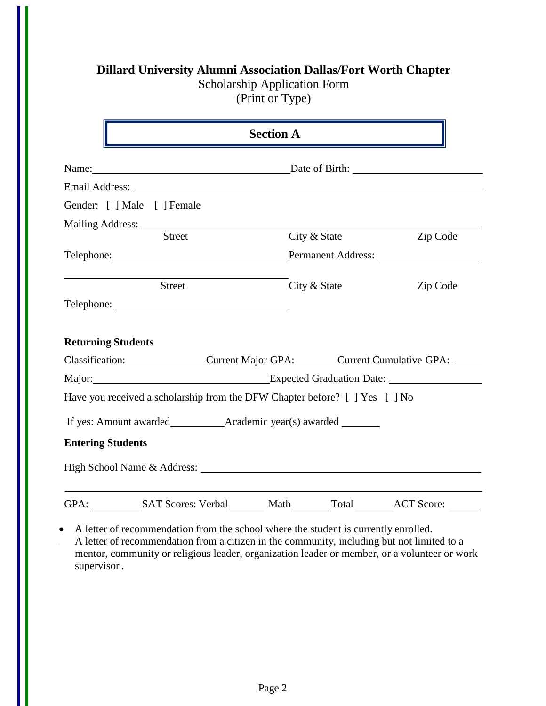## **Dillard University Alumni Association Dallas/Fort Worth Chapter**

Scholarship Application Form

(Print or Type)

|                           |                                    | <b>Section A</b>                                                            |          |  |  |
|---------------------------|------------------------------------|-----------------------------------------------------------------------------|----------|--|--|
|                           |                                    | Name: Date of Birth:                                                        |          |  |  |
|                           |                                    |                                                                             |          |  |  |
|                           | Gender: [ ] Male [ ] Female        |                                                                             |          |  |  |
|                           | Mailing Address: National Address: |                                                                             |          |  |  |
|                           | <b>Street</b>                      | City & State                                                                | Zip Code |  |  |
|                           |                                    |                                                                             |          |  |  |
|                           | <b>Street</b>                      | City & State                                                                | Zip Code |  |  |
|                           |                                    |                                                                             |          |  |  |
| <b>Returning Students</b> |                                    |                                                                             |          |  |  |
|                           |                                    | Classification: Current Major GPA: Current Cumulative GPA:                  |          |  |  |
|                           |                                    |                                                                             |          |  |  |
|                           |                                    | Have you received a scholarship from the DFW Chapter before? [ ] Yes [ ] No |          |  |  |
|                           |                                    |                                                                             |          |  |  |
| <b>Entering Students</b>  |                                    |                                                                             |          |  |  |
|                           |                                    |                                                                             |          |  |  |
|                           |                                    | GPA: SAT Scores: Verbal Math Total ACT Score:                               |          |  |  |

 A letter of recommendation from the school where the student is currently enrolled. A letter of recommendation from a citizen in the community, including but not limited to a mentor, community or religious leader, organization leader or member, or a volunteer or work supervisor .